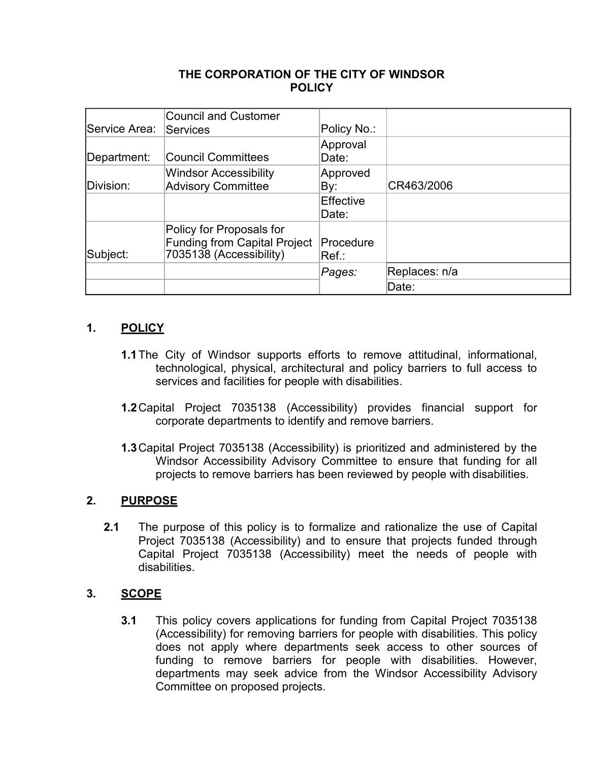### **THE CORPORATION OF THE CITY OF WINDSOR POLICY**

|               | <b>Council and Customer</b>         |             |               |
|---------------|-------------------------------------|-------------|---------------|
| Service Area: | Services                            | Policy No.: |               |
|               |                                     | Approval    |               |
| Department:   | <b>Council Committees</b>           | Date:       |               |
|               | <b>Windsor Accessibility</b>        | Approved    |               |
| Division:     | <b>Advisory Committee</b>           | By:         | CR463/2006    |
|               |                                     | Effective   |               |
|               |                                     | Date:       |               |
|               | Policy for Proposals for            |             |               |
|               | <b>Funding from Capital Project</b> | Procedure   |               |
| Subject:      | 7035138 (Accessibility)             | Ref.        |               |
|               |                                     | Pages:      | Replaces: n/a |
|               |                                     |             | Date:         |

# **1. POLICY**

- **1.1**The City of Windsor supports efforts to remove attitudinal, informational, technological, physical, architectural and policy barriers to full access to services and facilities for people with disabilities.
- **1.2**Capital Project 7035138 (Accessibility) provides financial support for corporate departments to identify and remove barriers.
- **1.3**Capital Project 7035138 (Accessibility) is prioritized and administered by the Windsor Accessibility Advisory Committee to ensure that funding for all projects to remove barriers has been reviewed by people with disabilities.

### **2. PURPOSE**

**2.1** The purpose of this policy is to formalize and rationalize the use of Capital Project 7035138 (Accessibility) and to ensure that projects funded through Capital Project 7035138 (Accessibility) meet the needs of people with disabilities.

### **3. SCOPE**

**3.1** This policy covers applications for funding from Capital Project 7035138 (Accessibility) for removing barriers for people with disabilities. This policy does not apply where departments seek access to other sources of funding to remove barriers for people with disabilities. However, departments may seek advice from the Windsor Accessibility Advisory Committee on proposed projects.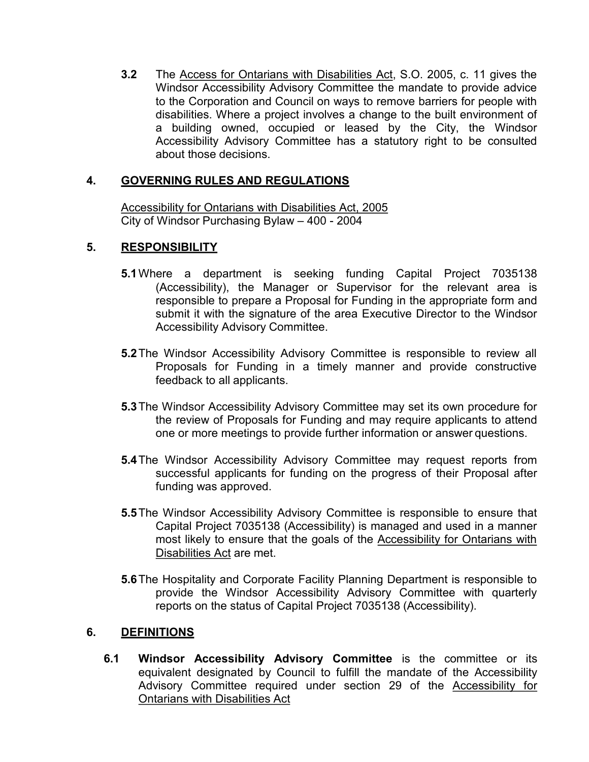**3.2** The Access for Ontarians with Disabilities Act, S.O. 2005, c. 11 gives the Windsor Accessibility Advisory Committee the mandate to provide advice to the Corporation and Council on ways to remove barriers for people with disabilities. Where a project involves a change to the built environment of a building owned, occupied or leased by the City, the Windsor Accessibility Advisory Committee has a statutory right to be consulted about those decisions.

## **4. GOVERNING RULES AND REGULATIONS**

Accessibility for Ontarians with Disabilities Act, 2005 City of Windsor Purchasing Bylaw – 400 - 2004

### **5. RESPONSIBILITY**

- **5.1**Where a department is seeking funding Capital Project 7035138 (Accessibility), the Manager or Supervisor for the relevant area is responsible to prepare a Proposal for Funding in the appropriate form and submit it with the signature of the area Executive Director to the Windsor Accessibility Advisory Committee.
- **5.2**The Windsor Accessibility Advisory Committee is responsible to review all Proposals for Funding in a timely manner and provide constructive feedback to all applicants.
- **5.3**The Windsor Accessibility Advisory Committee may set its own procedure for the review of Proposals for Funding and may require applicants to attend one or more meetings to provide further information or answer questions.
- **5.4**The Windsor Accessibility Advisory Committee may request reports from successful applicants for funding on the progress of their Proposal after funding was approved.
- **5.5**The Windsor Accessibility Advisory Committee is responsible to ensure that Capital Project 7035138 (Accessibility) is managed and used in a manner most likely to ensure that the goals of the Accessibility for Ontarians with Disabilities Act are met.
- **5.6**The Hospitality and Corporate Facility Planning Department is responsible to provide the Windsor Accessibility Advisory Committee with quarterly reports on the status of Capital Project 7035138 (Accessibility).

### **6. DEFINITIONS**

**6.1 Windsor Accessibility Advisory Committee** is the committee or its equivalent designated by Council to fulfill the mandate of the Accessibility Advisory Committee required under section 29 of the Accessibility for Ontarians with Disabilities Act